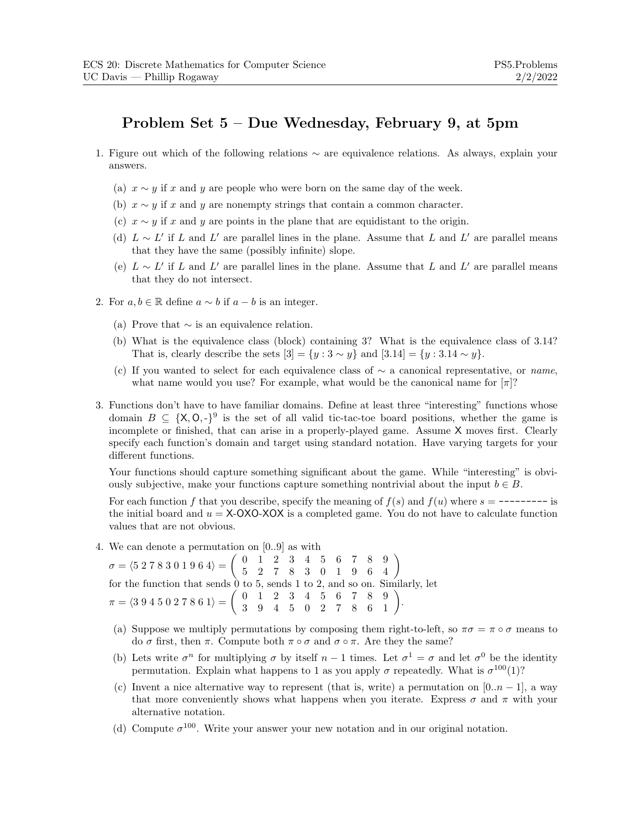## **Problem Set 5 – Due Wednesday, February 9, at 5pm**

- 1. Figure out which of the following relations ∼ are equivalence relations. As always, explain your answers.
	- (a)  $x \sim y$  if x and y are people who were born on the same day of the week.
	- (b)  $x \sim y$  if x and y are nonempty strings that contain a common character.
	- (c)  $x \sim y$  if x and y are points in the plane that are equidistant to the origin.
	- (d)  $L \sim L'$  if L and L' are parallel lines in the plane. Assume that L and L' are parallel means that they have the same (possibly infinite) slope.
	- (e)  $L \sim L'$  if L and L' are parallel lines in the plane. Assume that L and L' are parallel means that they do not intersect.
- 2. For  $a, b \in \mathbb{R}$  define  $a \sim b$  if  $a b$  is an integer.
	- (a) Prove that  $\sim$  is an equivalence relation.
	- (b) What is the equivalence class (block) containing 3? What is the equivalence class of 3.14? That is, clearly describe the sets  $[3] = \{y : 3 \sim y\}$  and  $[3.14] = \{y : 3.14 \sim y\}$ .
	- (c) If you wanted to select for each equivalence class of <sup>∼</sup> a canonical representative, or *name*, what name would you use? For example, what would be the canonical name for  $\pi$ ?
- 3. Functions don't have to have familiar domains. Define at least three "interesting" functions whose domain  $B \subseteq \{X, 0, -\}^9$  is the set of all valid tic-tac-toe board positions, whether the game is incomplete or finished, that can arise in a properly-played game. Assume X moves first. Clearly specify each function's domain and target using standard notation. Have varying targets for your different functions.

Your functions should capture something significant about the game. While "interesting" is obviously subjective, make your functions capture something nontrivial about the input  $b \in B$ .

For each function f that you describe, specify the meaning of  $f(s)$  and  $f(u)$  where  $s = \text{-} \text{-} \text{-} \text{-} \text{-}$  is the initial board and  $u = X-OXO-XOX$  is a completed game. You do not have to calculate function values that are not obvious.

4. We can denote a permutation on [0..9] as with

 $\sigma = \langle 5\; 2\; 7\; 8\; 3\; 0\; 1\; 9\; 6\; 4 \rangle = \left( \begin{array}{ccccccc} 0&1&2&3&4&5&6&7&8&9 \ 5&2&7&8&3&0&1&9&6&4 \end{array} \right)$ for the function that sends 0 to 5, sends 1 to 2, and so on. Similarly, let  $\pi = \langle 3\ 9\ 4\ 5\ 0\ 2\ 7\ 8\ 6\ 1 \rangle = \left( \begin{array}{cccccc} 0&1&2&3&4&5&6&7&8&9\ 3&9&4&5&0&2&7&8&6&1 \end{array} \right).$ 

- (a) Suppose we multiply permutations by composing them right-to-left, so  $\pi\sigma = \pi \circ \sigma$  means to do  $\sigma$  first, then  $\pi$ . Compute both  $\pi \circ \sigma$  and  $\sigma \circ \pi$ . Are they the same?
- (b) Lets write  $\sigma^n$  for multiplying  $\sigma$  by itself  $n-1$  times. Let  $\sigma^1 = \sigma$  and let  $\sigma^0$  be the identity permutation. Explain what happens to 1 as you apply  $\sigma$  repeatedly. What is  $\sigma^{100}(1)$ ?
- (c) Invent a nice alternative way to represent (that is, write) a permutation on  $[0..n-1]$ , a way that more conveniently shows what happens when you iterate. Express  $\sigma$  and  $\pi$  with your alternative notation.
- (d) Compute  $\sigma^{100}$ . Write your answer your new notation and in our original notation.